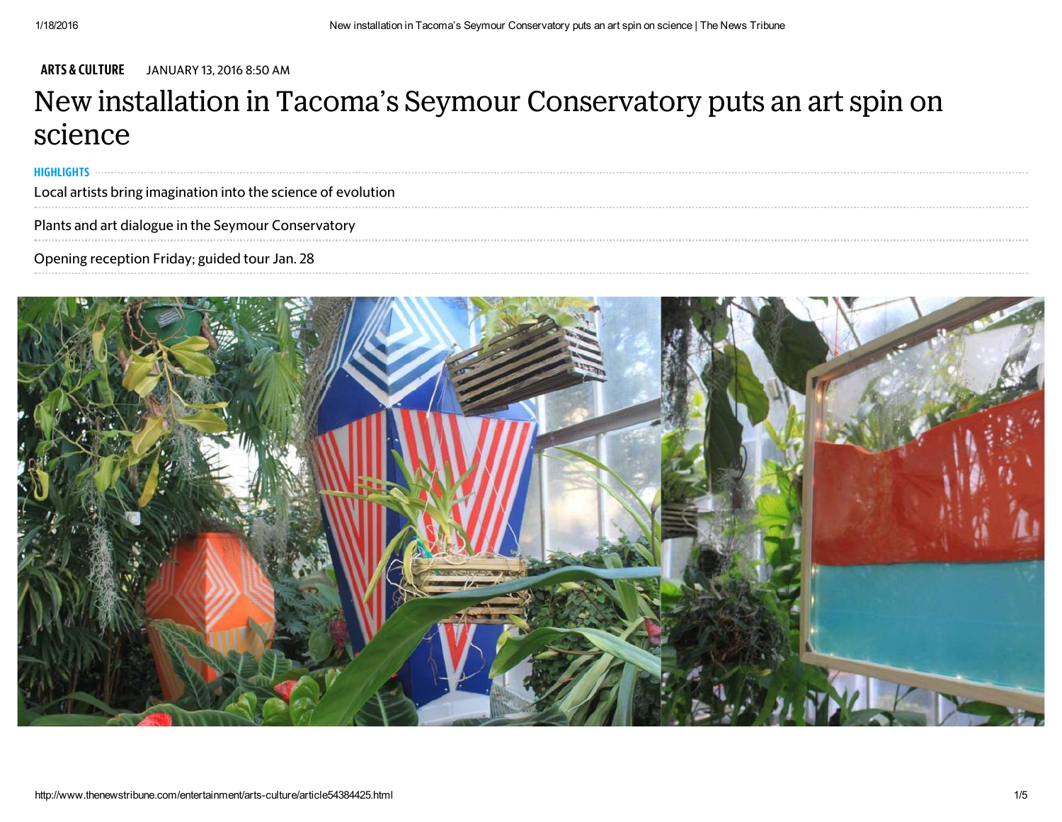ARTS & [CULTURE](http://www.thenewstribune.com/entertainment/arts-culture/) JANUARY 13, 2016 8:50 AM

## New installation in Tacoma's Seymour Conservatory puts an art spin on science

HIGHLIGHTS

Local artists bring imagination into the science of evolution 

Plants and art dialogue in the Seymour Conservatory

Opening reception Friday; guided tour Jan. 28

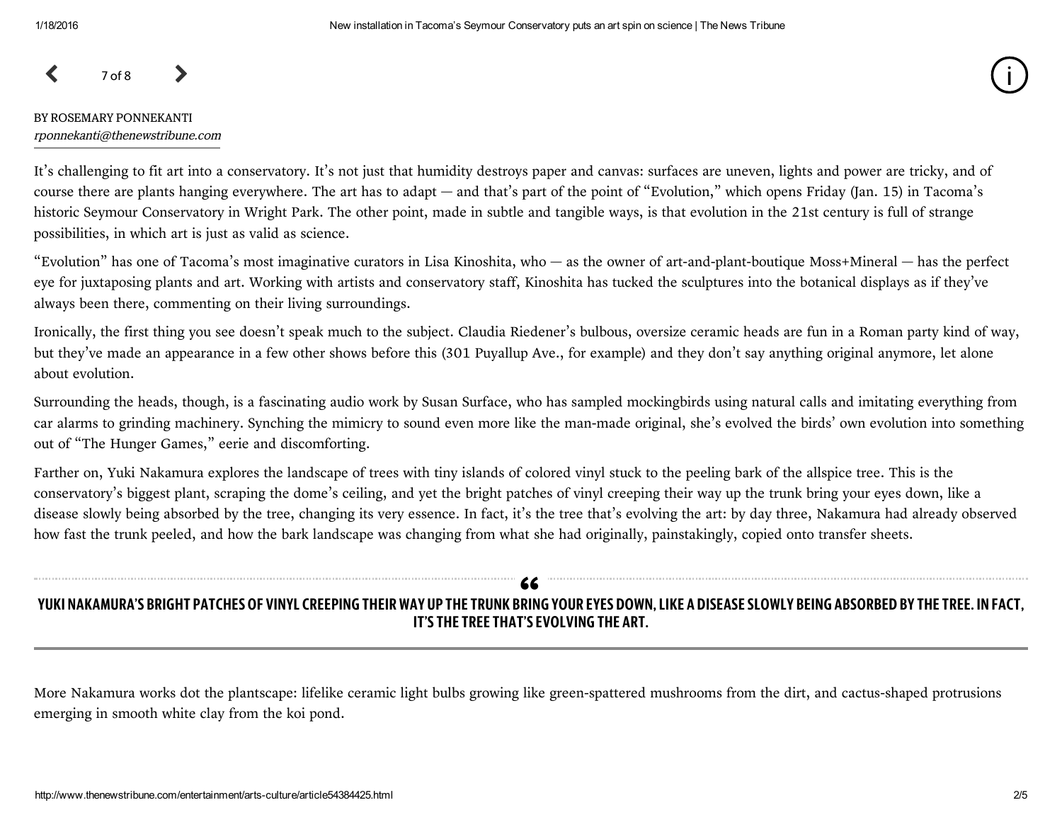$\left\langle \right\rangle$  7 of 8

#### BY ROSEMARY PONNEKANTI [rponnekanti@thenewstribune.com](mailto:rponnekanti@thenewstribune.com)

It's challenging to fit art into a conservatory. It's not just that humidity destroys paper and canvas: surfaces are uneven, lights and power are tricky, and of course there are plants hanging everywhere. The art has to adapt — and that's part of the point of "Evolution," which opens Friday (Jan. 15) in Tacoma's historic Seymour Conservatory in Wright Park. The other point, made in subtle and tangible ways, is that evolution in the 21st century is full of strange possibilities, in which art is just as valid as science.

"Evolution" has one of Tacoma's most imaginative curators in Lisa Kinoshita, who — as the owner of art-and-plant-boutique Moss+Mineral — has the perfect eye for juxtaposing plants and art. Working with artists and conservatory staff, Kinoshita has tucked the sculptures into the botanical displays as if they've always been there, commenting on their living surroundings.

Ironically, the first thing you see doesn't speak much to the subject. Claudia Riedener's bulbous, oversize ceramic heads are fun in a Roman party kind of way, but they've made an appearance in a few other shows before this (301 Puyallup Ave., for example) and they don't say anything original anymore, let alone about evolution.

Surrounding the heads, though, is a fascinating audio work by Susan Surface, who has sampled mockingbirds using natural calls and imitating everything from car alarms to grinding machinery. Synching the mimicry to sound even more like the man-made original, she's evolved the birds' own evolution into something out of "The Hunger Games," eerie and discomforting.

Farther on, Yuki Nakamura explores the landscape of trees with tiny islands of colored vinyl stuck to the peeling bark of the allspice tree. This is the conservatory's biggest plant, scraping the dome's ceiling, and yet the bright patches of vinyl creeping their way up the trunk bring your eyes down, like a disease slowly being absorbed by the tree, changing its very essence. In fact, it's the tree that's evolving the art: by day three, Nakamura had already observed how fast the trunk peeled, and how the bark landscape was changing from what she had originally, painstakingly, copied onto transfer sheets.

## YUKI NAKAMURA'S BRIGHT PATCHES OF VINYL CREEPING THEIR WAY UP THE TRUNK BRING YOUR EYES DOWN, LIKE A DISEASE SLOWLY BEING ABSORBED BY THE TREE. IN FACT, IT'S THE TREE THAT'S EVOLVING THE ART. "

More Nakamura works dot the plantscape: lifelike ceramic light bulbs growing like green-spattered mushrooms from the dirt, and cactus-shaped protrusions emerging in smooth white clay from the koi pond.

i